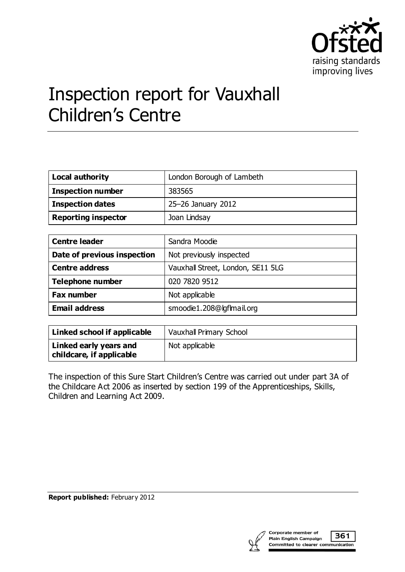

# Inspection report for Vauxhall Children's Centre

| <b>Local authority</b>     | London Borough of Lambeth |
|----------------------------|---------------------------|
| <b>Inspection number</b>   | 383565                    |
| <b>Inspection dates</b>    | 25-26 January 2012        |
| <b>Reporting inspector</b> | Joan Lindsay              |

| <b>Centre leader</b>        | Sandra Moodie                     |
|-----------------------------|-----------------------------------|
| Date of previous inspection | Not previously inspected          |
| <b>Centre address</b>       | Vauxhall Street, London, SE11 5LG |
| <b>Telephone number</b>     | 020 7820 9512                     |
| <b>Fax number</b>           | Not applicable                    |
| <b>Email address</b>        | smoodie1.208@lgflmail.org         |

| Linked school if applicable                        | Vauxhall Primary School |
|----------------------------------------------------|-------------------------|
| Linked early years and<br>childcare, if applicable | Not applicable          |

The inspection of this Sure Start Children's Centre was carried out under part 3A of the Childcare Act 2006 as inserted by section 199 of the Apprenticeships, Skills, Children and Learning Act 2009.

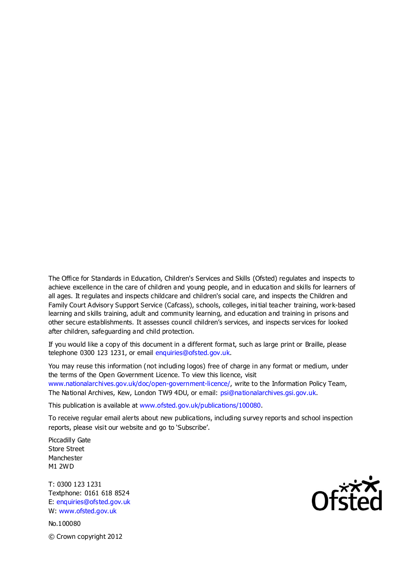The Office for Standards in Education, Children's Services and Skills (Ofsted) regulates and inspects to achieve excellence in the care of children and young people, and in education and skills for learners of all ages. It regulates and inspects childcare and children's social care, and inspects the Children and Family Court Advisory Support Service (Cafcass), schools, colleges, initial teacher training, work-based learning and skills training, adult and community learning, and education and training in prisons and other secure establishments. It assesses council children's services, and inspects services for looked after children, safeguarding and child protection.

If you would like a copy of this document in a different format, such as large print or Braille, please telephone 0300 123 1231, or email enquiries@ofsted.gov.uk.

You may reuse this information (not including logos) free of charge in any format or medium, under the terms of the Open Government Licence. To view this licence, visit www.nationalarchives.gov.uk/doc/open-government-licence/, write to the Information Policy Team, The National Archives, Kew, London TW9 4DU, or email: psi@nationalarchives.gsi.gov.uk.

This publication is available at www.ofsted.gov.uk/publications/100080.

To receive regular email alerts about new publications, including survey reports and school inspection reports, please visit our website and go to 'Subscribe'.

Piccadilly Gate Store Street Manchester M1 2WD

T: 0300 123 1231 Textphone: 0161 618 8524 E: enquiries@ofsted.gov.uk W: www.ofsted.gov.uk

No.100080 © Crown copyright 2012

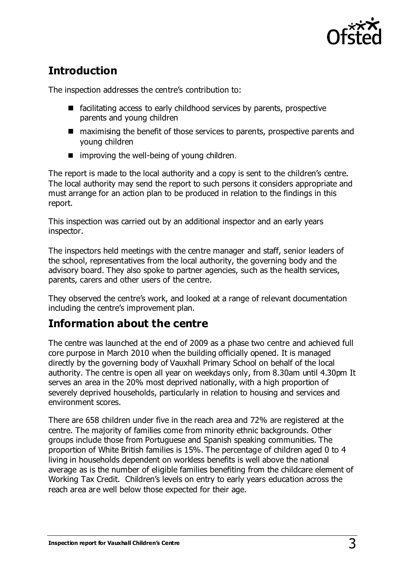

# **Introduction**

The inspection addresses the centre's contribution to:

- $\blacksquare$  facilitating access to early childhood services by parents, prospective parents and young children
- maximising the benefit of those services to parents, prospective parents and young children
- $\blacksquare$  improving the well-being of young children.

The report is made to the local authority and a copy is sent to the children's centre. The local authority may send the report to such persons it considers appropriate and must arrange for an action plan to be produced in relation to the findings in this report.

This inspection was carried out by an additional inspector and an early years inspector.

The inspectors held meetings with the centre manager and staff, senior leaders of the school, representatives from the local authority, the governing body and the advisory board. They also spoke to partner agencies, such as the health services, parents, carers and other users of the centre.

They observed the centre's work, and looked at a range of relevant documentation including the centre's improvement plan.

## **Information about the centre**

The centre was launched at the end of 2009 as a phase two centre and achieved full core purpose in March 2010 when the building officially opened. It is managed directly by the governing body of Vauxhall Primary School on behalf of the local authority. The centre is open all year on weekdays only, from 8.30am until 4.30pm It serves an area in the 20% most deprived nationally, with a high proportion of severely deprived households, particularly in relation to housing and services and environment scores.

There are 658 children under five in the reach area and 72% are registered at the centre. The majority of families come from minority ethnic backgrounds. Other groups include those from Portuguese and Spanish speaking communities. The proportion of White British families is 15%. The percentage of children aged 0 to 4 living in households dependent on workless benefits is well above the national average as is the number of eligible families benefiting from the childcare element of Working Tax Credit. Children's levels on entry to early years education across the reach area are well below those expected for their age.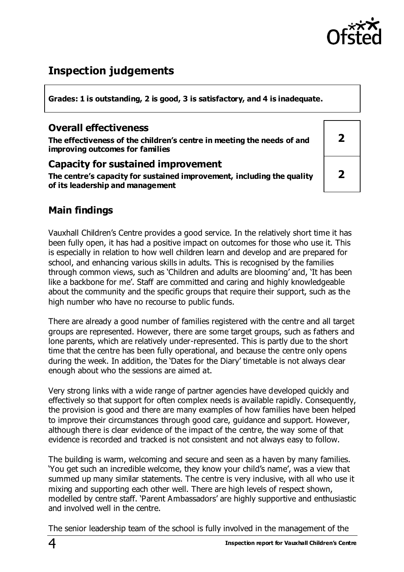

## **Inspection judgements**

**Grades: 1 is outstanding, 2 is good, 3 is satisfactory, and 4 is inadequate.**

#### **Overall effectiveness**

**The effectiveness of the children's centre in meeting the needs of and improving outcomes for families**

#### **Capacity for sustained improvement**

**The centre's capacity for sustained improvement, including the quality of its leadership and management**

| $\overline{\mathbf{2}}$ |  |
|-------------------------|--|
| $\overline{\mathbf{2}}$ |  |

## **Main findings**

Vauxhall Children's Centre provides a good service. In the relatively short time it has been fully open, it has had a positive impact on outcomes for those who use it. This is especially in relation to how well children learn and develop and are prepared for school, and enhancing various skills in adults. This is recognised by the families through common views, such as 'Children and adults are blooming' and, 'It has been like a backbone for me'. Staff are committed and caring and highly knowledgeable about the community and the specific groups that require their support, such as the high number who have no recourse to public funds.

There are already a good number of families registered with the centre and all target groups are represented. However, there are some target groups, such as fathers and lone parents, which are relatively under-represented. This is partly due to the short time that the centre has been fully operational, and because the centre only opens during the week. In addition, the 'Dates for the Diary' timetable is not always clear enough about who the sessions are aimed at.

Very strong links with a wide range of partner agencies have developed quickly and effectively so that support for often complex needs is available rapidly. Consequently, the provision is good and there are many examples of how families have been helped to improve their circumstances through good care, guidance and support. However, although there is clear evidence of the impact of the centre, the way some of that evidence is recorded and tracked is not consistent and not always easy to follow.

The building is warm, welcoming and secure and seen as a haven by many families. 'You get such an incredible welcome, they know your child's name', was a view that summed up many similar statements. The centre is very inclusive, with all who use it mixing and supporting each other well. There are high levels of respect shown, modelled by centre staff. 'Parent Ambassadors' are highly supportive and enthusiastic and involved well in the centre.

The senior leadership team of the school is fully involved in the management of the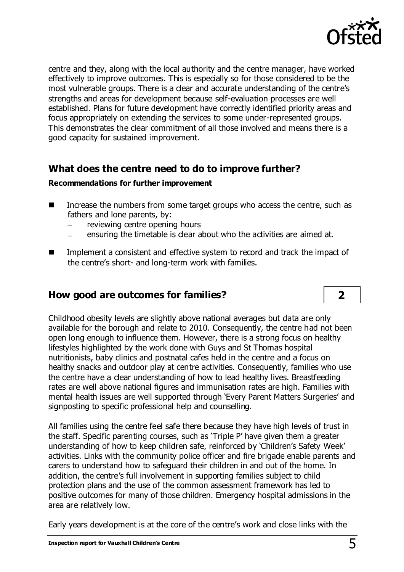

centre and they, along with the local authority and the centre manager, have worked effectively to improve outcomes. This is especially so for those considered to be the most vulnerable groups. There is a clear and accurate understanding of the centre's strengths and areas for development because self-evaluation processes are well established. Plans for future development have correctly identified priority areas and focus appropriately on extending the services to some under-represented groups. This demonstrates the clear commitment of all those involved and means there is a good capacity for sustained improvement.

#### **What does the centre need to do to improve further?**

#### **Recommendations for further improvement**

- Increase the numbers from some target groups who access the centre, such as fathers and lone parents, by:
	- reviewing centre opening hours
	- ensuring the timetable is clear about who the activities are aimed at.
- Implement a consistent and effective system to record and track the impact of the centre's short- and long-term work with families.

### **How good are outcomes for families? 2**

Childhood obesity levels are slightly above national averages but data are only available for the borough and relate to 2010. Consequently, the centre had not been open long enough to influence them. However, there is a strong focus on healthy lifestyles highlighted by the work done with Guys and St Thomas hospital nutritionists, baby clinics and postnatal cafes held in the centre and a focus on healthy snacks and outdoor play at centre activities. Consequently, families who use the centre have a clear understanding of how to lead healthy lives. Breastfeeding rates are well above national figures and immunisation rates are high. Families with mental health issues are well supported through 'Every Parent Matters Surgeries' and signposting to specific professional help and counselling.

All families using the centre feel safe there because they have high levels of trust in the staff. Specific parenting courses, such as 'Triple P' have given them a greater understanding of how to keep children safe, reinforced by 'Children's Safety Week' activities. Links with the community police officer and fire brigade enable parents and carers to understand how to safeguard their children in and out of the home. In addition, the centre's full involvement in supporting families subject to child protection plans and the use of the common assessment framework has led to positive outcomes for many of those children. Emergency hospital admissions in the area are relatively low.

Early years development is at the core of the centre's work and close links with the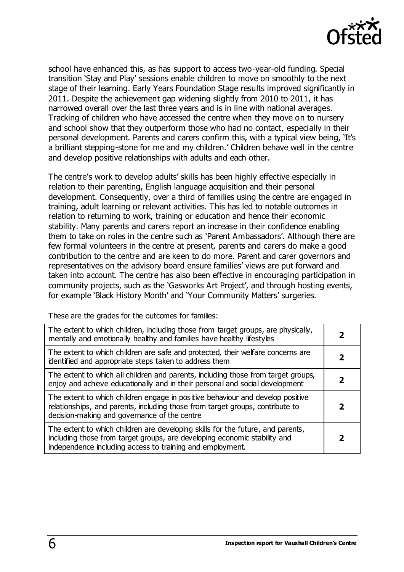

school have enhanced this, as has support to access two-year-old funding. Special transition 'Stay and Play' sessions enable children to move on smoothly to the next stage of their learning. Early Years Foundation Stage results improved significantly in 2011. Despite the achievement gap widening slightly from 2010 to 2011, it has narrowed overall over the last three years and is in line with national averages. Tracking of children who have accessed the centre when they move on to nursery and school show that they outperform those who had no contact, especially in their personal development. Parents and carers confirm this, with a typical view being, 'It's a brilliant stepping-stone for me and my children.' Children behave well in the centre and develop positive relationships with adults and each other.

The centre's work to develop adults' skills has been highly effective especially in relation to their parenting, English language acquisition and their personal development. Consequently, over a third of families using the centre are engaged in training, adult learning or relevant activities. This has led to notable outcomes in relation to returning to work, training or education and hence their economic stability. Many parents and carers report an increase in their confidence enabling them to take on roles in the centre such as 'Parent Ambassadors'. Although there are few formal volunteers in the centre at present, parents and carers do make a good contribution to the centre and are keen to do more. Parent and carer governors and representatives on the advisory board ensure families' views are put forward and taken into account. The centre has also been effective in encouraging participation in community projects, such as the 'Gasworks Art Project', and through hosting events, for example 'Black History Month' and 'Your Community Matters' surgeries.

These are the grades for the outcomes for families:

| The extent to which children, including those from target groups, are physically,<br>mentally and emotionally healthy and families have healthy lifestyles                                                                |  |
|---------------------------------------------------------------------------------------------------------------------------------------------------------------------------------------------------------------------------|--|
| The extent to which children are safe and protected, their welfare concerns are<br>identified and appropriate steps taken to address them                                                                                 |  |
| The extent to which all children and parents, including those from target groups,<br>enjoy and achieve educationally and in their personal and social development                                                         |  |
| The extent to which children engage in positive behaviour and develop positive<br>relationships, and parents, including those from target groups, contribute to<br>decision-making and governance of the centre           |  |
| The extent to which children are developing skills for the future, and parents,<br>including those from target groups, are developing economic stability and<br>independence including access to training and employment. |  |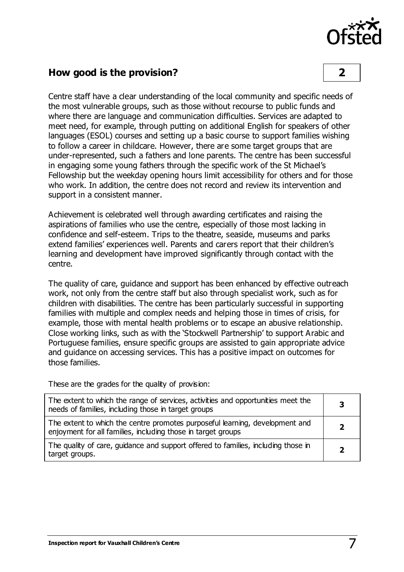

#### **How good is the provision? 2**

Centre staff have a clear understanding of the local community and specific needs of the most vulnerable groups, such as those without recourse to public funds and where there are language and communication difficulties. Services are adapted to meet need, for example, through putting on additional English for speakers of other languages (ESOL) courses and setting up a basic course to support families wishing to follow a career in childcare. However, there are some target groups that are under-represented, such a fathers and lone parents. The centre has been successful in engaging some young fathers through the specific work of the St Michael's Fellowship but the weekday opening hours limit accessibility for others and for those who work. In addition, the centre does not record and review its intervention and support in a consistent manner.

Achievement is celebrated well through awarding certificates and raising the aspirations of families who use the centre, especially of those most lacking in confidence and self-esteem. Trips to the theatre, seaside, museums and parks extend families' experiences well. Parents and carers report that their children's learning and development have improved significantly through contact with the centre.

The quality of care, guidance and support has been enhanced by effective outreach work, not only from the centre staff but also through specialist work, such as for children with disabilities. The centre has been particularly successful in supporting families with multiple and complex needs and helping those in times of crisis, for example, those with mental health problems or to escape an abusive relationship. Close working links, such as with the 'Stockwell Partnership' to support Arabic and Portuguese families, ensure specific groups are assisted to gain appropriate advice and guidance on accessing services. This has a positive impact on outcomes for those families.

These are the grades for the quality of provision:

| The extent to which the range of services, activities and opportunities meet the<br>needs of families, including those in target groups      |  |
|----------------------------------------------------------------------------------------------------------------------------------------------|--|
| The extent to which the centre promotes purposeful learning, development and<br>enjoyment for all families, including those in target groups |  |
| The quality of care, guidance and support offered to families, including those in<br>target groups.                                          |  |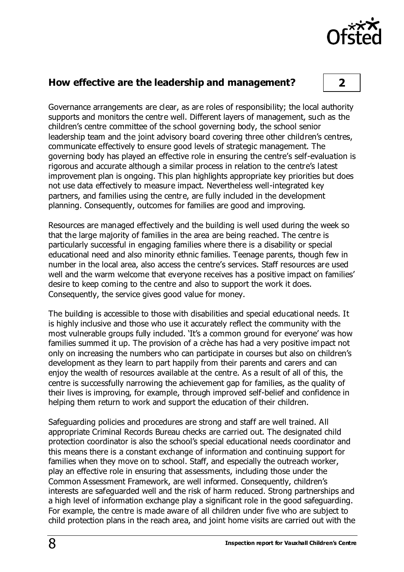

#### **How effective are the leadership and management? 2**

Governance arrangements are clear, as are roles of responsibility; the local authority supports and monitors the centre well. Different layers of management, such as the children's centre committee of the school governing body, the school senior leadership team and the joint advisory board covering three other children's centres, communicate effectively to ensure good levels of strategic management. The governing body has played an effective role in ensuring the centre's self-evaluation is rigorous and accurate although a similar process in relation to the centre's latest improvement plan is ongoing. This plan highlights appropriate key priorities but does not use data effectively to measure impact. Nevertheless well-integrated key partners, and families using the centre, are fully included in the development planning. Consequently, outcomes for families are good and improving.

Resources are managed effectively and the building is well used during the week so that the large majority of families in the area are being reached. The centre is particularly successful in engaging families where there is a disability or special educational need and also minority ethnic families. Teenage parents, though few in number in the local area, also access the centre's services. Staff resources are used well and the warm welcome that everyone receives has a positive impact on families' desire to keep coming to the centre and also to support the work it does. Consequently, the service gives good value for money.

The building is accessible to those with disabilities and special educational needs. It is highly inclusive and those who use it accurately reflect the community with the most vulnerable groups fully included. 'It's a common ground for everyone' was how families summed it up. The provision of a crèche has had a very positive impact not only on increasing the numbers who can participate in courses but also on children's development as they learn to part happily from their parents and carers and can enjoy the wealth of resources available at the centre. As a result of all of this, the centre is successfully narrowing the achievement gap for families, as the quality of their lives is improving, for example, through improved self-belief and confidence in helping them return to work and support the education of their children.

Safeguarding policies and procedures are strong and staff are well trained. All appropriate Criminal Records Bureau checks are carried out. The designated child protection coordinator is also the school's special educational needs coordinator and this means there is a constant exchange of information and continuing support for families when they move on to school. Staff, and especially the outreach worker, play an effective role in ensuring that assessments, including those under the Common Assessment Framework, are well informed. Consequently, children's interests are safeguarded well and the risk of harm reduced. Strong partnerships and a high level of information exchange play a significant role in the good safeguarding. For example, the centre is made aware of all children under five who are subject to child protection plans in the reach area, and joint home visits are carried out with the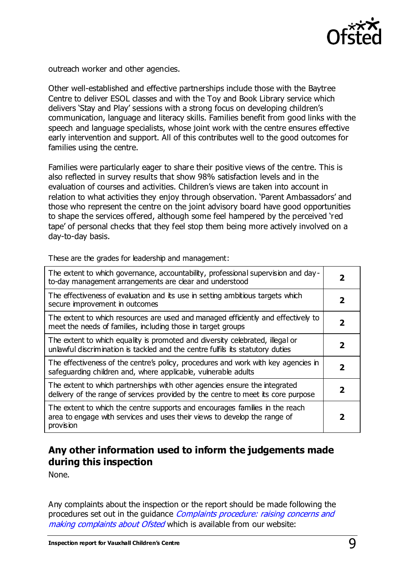

outreach worker and other agencies.

Other well-established and effective partnerships include those with the Baytree Centre to deliver ESOL classes and with the Toy and Book Library service which delivers 'Stay and Play' sessions with a strong focus on developing children's communication, language and literacy skills. Families benefit from good links with the speech and language specialists, whose joint work with the centre ensures effective early intervention and support. All of this contributes well to the good outcomes for families using the centre.

Families were particularly eager to share their positive views of the centre. This is also reflected in survey results that show 98% satisfaction levels and in the evaluation of courses and activities. Children's views are taken into account in relation to what activities they enjoy through observation. 'Parent Ambassadors' and those who represent the centre on the joint advisory board have good opportunities to shape the services offered, although some feel hampered by the perceived 'red tape' of personal checks that they feel stop them being more actively involved on a day-to-day basis.

These are the grades for leadership and management:  $\boxed{\phantom{a}}$  The extent to which governance, accountability, professional supervision and day  $\phantom{a}$ 

| The extent to which governance, accountability, professional supervision and day-<br>to-day management arrangements are clear and understood                           | 2 |
|------------------------------------------------------------------------------------------------------------------------------------------------------------------------|---|
| The effectiveness of evaluation and its use in setting ambitious targets which<br>secure improvement in outcomes                                                       | 2 |
| The extent to which resources are used and managed efficiently and effectively to<br>meet the needs of families, including those in target groups                      | 2 |
| The extent to which equality is promoted and diversity celebrated, illegal or<br>unlawful discrimination is tackled and the centre fulfils its statutory duties        | 2 |
| The effectiveness of the centre's policy, procedures and work with key agencies in<br>safeguarding children and, where applicable, vulnerable adults                   | 2 |
| The extent to which partnerships with other agencies ensure the integrated<br>delivery of the range of services provided by the centre to meet its core purpose        | 2 |
| The extent to which the centre supports and encourages families in the reach<br>area to engage with services and uses their views to develop the range of<br>provision | 2 |

### **Any other information used to inform the judgements made during this inspection**

None.

Any complaints about the inspection or the report should be made following the procedures set out in the guidance *Complaints procedure: raising concerns and* [making complaints about Ofsted](http://www.ofsted.gov.uk/resources/complaints-procedure-raising-concerns-and-making-complaints-about-ofsted) which is available from our website: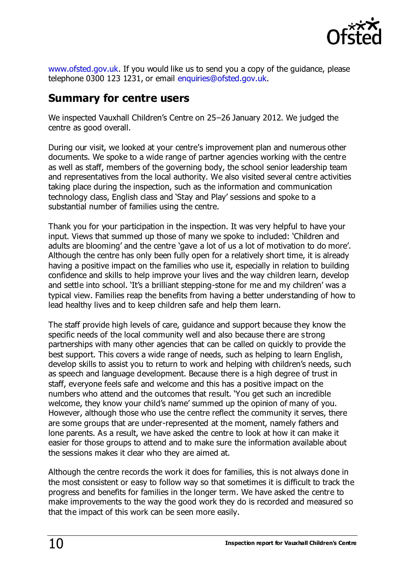

[www.ofsted.gov.uk.](http://www.ofsted.gov.uk/) If you would like us to send you a copy of the guidance, please telephone 0300 123 1231, or email [enquiries@ofsted.gov.uk.](mailto:enquiries@ofsted.gov.uk)

## **Summary for centre users**

We inspected Vauxhall Children's Centre on 25–26 January 2012. We judged the centre as good overall.

During our visit, we looked at your centre's improvement plan and numerous other documents. We spoke to a wide range of partner agencies working with the centre as well as staff, members of the governing body, the school senior leadership team and representatives from the local authority. We also visited several centre activities taking place during the inspection, such as the information and communication technology class, English class and 'Stay and Play' sessions and spoke to a substantial number of families using the centre.

Thank you for your participation in the inspection. It was very helpful to have your input. Views that summed up those of many we spoke to included: 'Children and adults are blooming' and the centre 'gave a lot of us a lot of motivation to do more'. Although the centre has only been fully open for a relatively short time, it is already having a positive impact on the families who use it, especially in relation to building confidence and skills to help improve your lives and the way children learn, develop and settle into school. 'It's a brilliant stepping-stone for me and my children' was a typical view. Families reap the benefits from having a better understanding of how to lead healthy lives and to keep children safe and help them learn.

The staff provide high levels of care, guidance and support because they know the specific needs of the local community well and also because there are s trong partnerships with many other agencies that can be called on quickly to provide the best support. This covers a wide range of needs, such as helping to learn English, develop skills to assist you to return to work and helping with children's needs, such as speech and language development. Because there is a high degree of trust in staff, everyone feels safe and welcome and this has a positive impact on the numbers who attend and the outcomes that result. 'You get such an incredible welcome, they know your child's name' summed up the opinion of many of you. However, although those who use the centre reflect the community it serves, there are some groups that are under-represented at the moment, namely fathers and lone parents. As a result, we have asked the centre to look at how it can make it easier for those groups to attend and to make sure the information available about the sessions makes it clear who they are aimed at.

Although the centre records the work it does for families, this is not always done in the most consistent or easy to follow way so that sometimes it is difficult to track the progress and benefits for families in the longer term. We have asked the centre to make improvements to the way the good work they do is recorded and measured so that the impact of this work can be seen more easily.